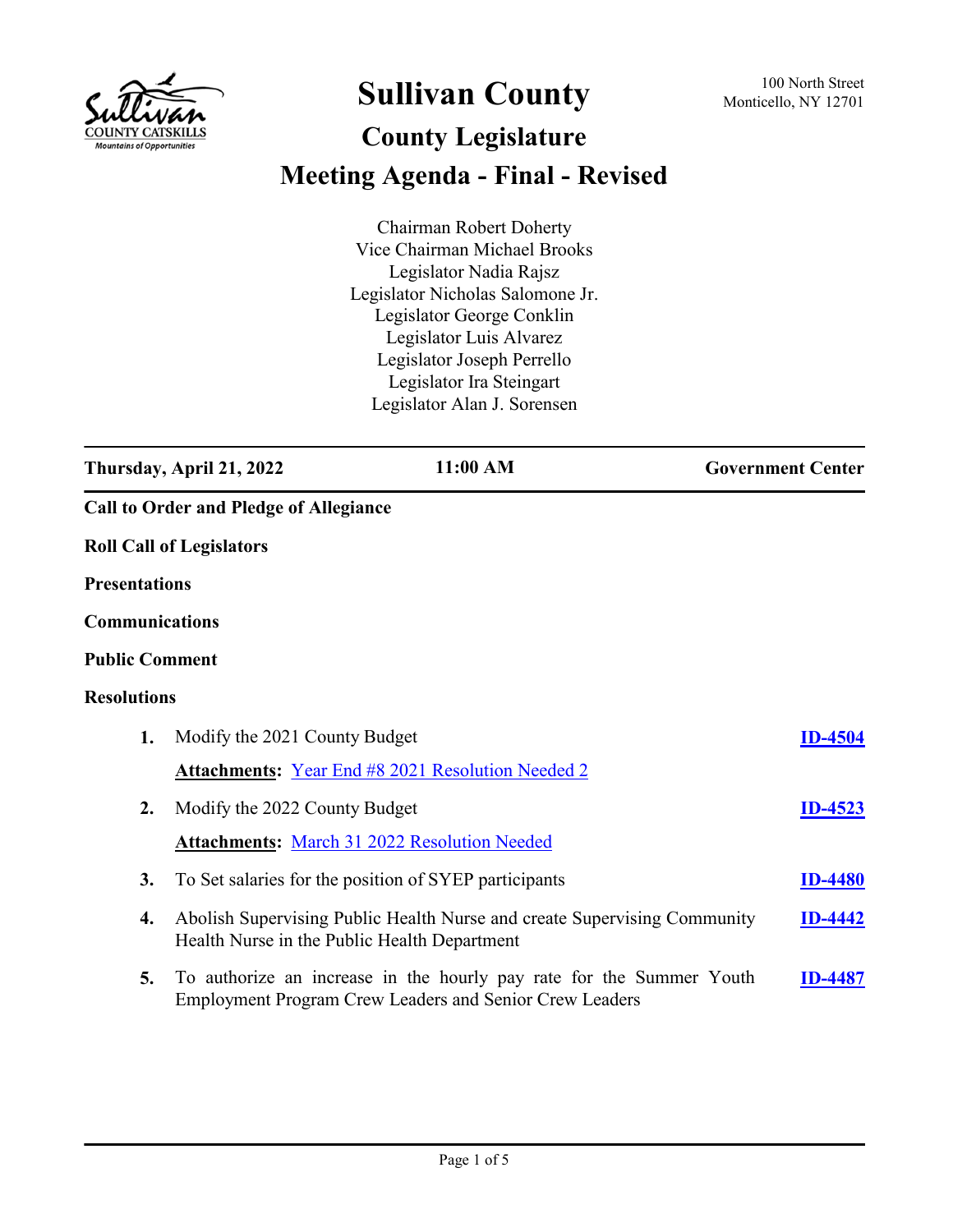

## **Sullivan County** 100 North Street 100 North Street

## **County Legislature Meeting Agenda - Final - Revised**

Chairman Robert Doherty Vice Chairman Michael Brooks Legislator Nadia Rajsz Legislator Nicholas Salomone Jr. Legislator George Conklin Legislator Luis Alvarez Legislator Joseph Perrello Legislator Ira Steingart Legislator Alan J. Sorensen

|                       | Thursday, April 21, 2022                      | 11:00 AM                                                                                                                               | <b>Government Center</b> |
|-----------------------|-----------------------------------------------|----------------------------------------------------------------------------------------------------------------------------------------|--------------------------|
|                       | <b>Call to Order and Pledge of Allegiance</b> |                                                                                                                                        |                          |
|                       | <b>Roll Call of Legislators</b>               |                                                                                                                                        |                          |
| <b>Presentations</b>  |                                               |                                                                                                                                        |                          |
| Communications        |                                               |                                                                                                                                        |                          |
| <b>Public Comment</b> |                                               |                                                                                                                                        |                          |
| <b>Resolutions</b>    |                                               |                                                                                                                                        |                          |
| 1.                    | Modify the 2021 County Budget                 |                                                                                                                                        | <b>ID-4504</b>           |
|                       |                                               | <b>Attachments:</b> Year End #8 2021 Resolution Needed 2                                                                               |                          |
| $\overline{2}$ .      | Modify the 2022 County Budget                 |                                                                                                                                        | <b>ID-4523</b>           |
|                       |                                               | <b>Attachments: March 31 2022 Resolution Needed</b>                                                                                    |                          |
| 3.                    |                                               | To Set salaries for the position of SYEP participants                                                                                  | <b>ID-4480</b>           |
| 4.                    | Health Nurse in the Public Health Department  | Abolish Supervising Public Health Nurse and create Supervising Community                                                               | <b>ID-4442</b>           |
| 5.                    |                                               | To authorize an increase in the hourly pay rate for the Summer Youth<br><b>Employment Program Crew Leaders and Senior Crew Leaders</b> | <b>ID-4487</b>           |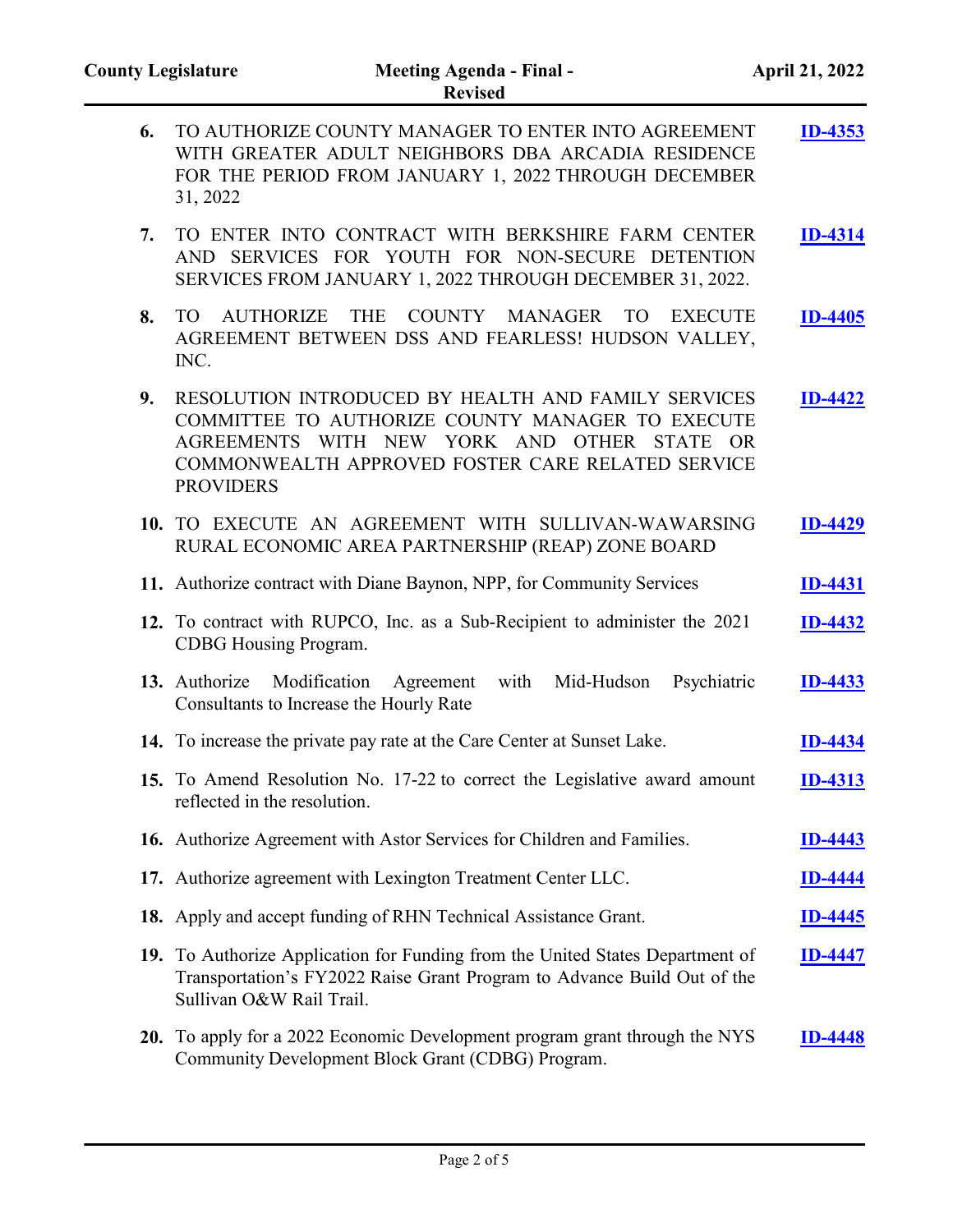| 6. | TO AUTHORIZE COUNTY MANAGER TO ENTER INTO AGREEMENT<br>WITH GREATER ADULT NEIGHBORS DBA ARCADIA RESIDENCE<br>FOR THE PERIOD FROM JANUARY 1, 2022 THROUGH DECEMBER<br>31, 2022                                                   | <b>ID-4353</b> |
|----|---------------------------------------------------------------------------------------------------------------------------------------------------------------------------------------------------------------------------------|----------------|
| 7. | TO ENTER INTO CONTRACT WITH BERKSHIRE FARM CENTER<br>AND SERVICES FOR YOUTH FOR NON-SECURE DETENTION<br>SERVICES FROM JANUARY 1, 2022 THROUGH DECEMBER 31, 2022.                                                                | <b>ID-4314</b> |
| 8. | COUNTY MANAGER<br><b>AUTHORIZE</b><br><b>THE</b><br><b>TO</b><br><b>TO</b><br><b>EXECUTE</b><br>AGREEMENT BETWEEN DSS AND FEARLESS! HUDSON VALLEY,<br>INC.                                                                      | <b>ID-4405</b> |
| 9. | RESOLUTION INTRODUCED BY HEALTH AND FAMILY SERVICES<br>COMMITTEE TO AUTHORIZE COUNTY MANAGER TO EXECUTE<br>AGREEMENTS WITH NEW YORK AND OTHER STATE OR<br>COMMONWEALTH APPROVED FOSTER CARE RELATED SERVICE<br><b>PROVIDERS</b> | <b>ID-4422</b> |
|    | 10. TO EXECUTE AN AGREEMENT WITH SULLIVAN-WAWARSING<br>RURAL ECONOMIC AREA PARTNERSHIP (REAP) ZONE BOARD                                                                                                                        | <b>ID-4429</b> |
|    | 11. Authorize contract with Diane Baynon, NPP, for Community Services                                                                                                                                                           | <b>ID-4431</b> |
|    | 12. To contract with RUPCO, Inc. as a Sub-Recipient to administer the 2021<br>CDBG Housing Program.                                                                                                                             | <b>ID-4432</b> |
|    | Modification Agreement with Mid-Hudson<br>13. Authorize<br>Psychiatric<br>Consultants to Increase the Hourly Rate                                                                                                               | <b>ID-4433</b> |
|    | 14. To increase the private pay rate at the Care Center at Sunset Lake.                                                                                                                                                         | <b>ID-4434</b> |
|    | 15. To Amend Resolution No. 17-22 to correct the Legislative award amount<br>reflected in the resolution                                                                                                                        | <b>ID-4313</b> |
|    | 16. Authorize Agreement with Astor Services for Children and Families.                                                                                                                                                          | <b>ID-4443</b> |
|    | 17. Authorize agreement with Lexington Treatment Center LLC.                                                                                                                                                                    | <b>ID-4444</b> |
|    | 18. Apply and accept funding of RHN Technical Assistance Grant.                                                                                                                                                                 | <b>ID-4445</b> |
|    | 19. To Authorize Application for Funding from the United States Department of<br>Transportation's FY2022 Raise Grant Program to Advance Build Out of the<br>Sullivan O&W Rail Trail.                                            | <b>ID-4447</b> |
|    | 20. To apply for a 2022 Economic Development program grant through the NYS<br>Community Development Block Grant (CDBG) Program.                                                                                                 | ID-4448        |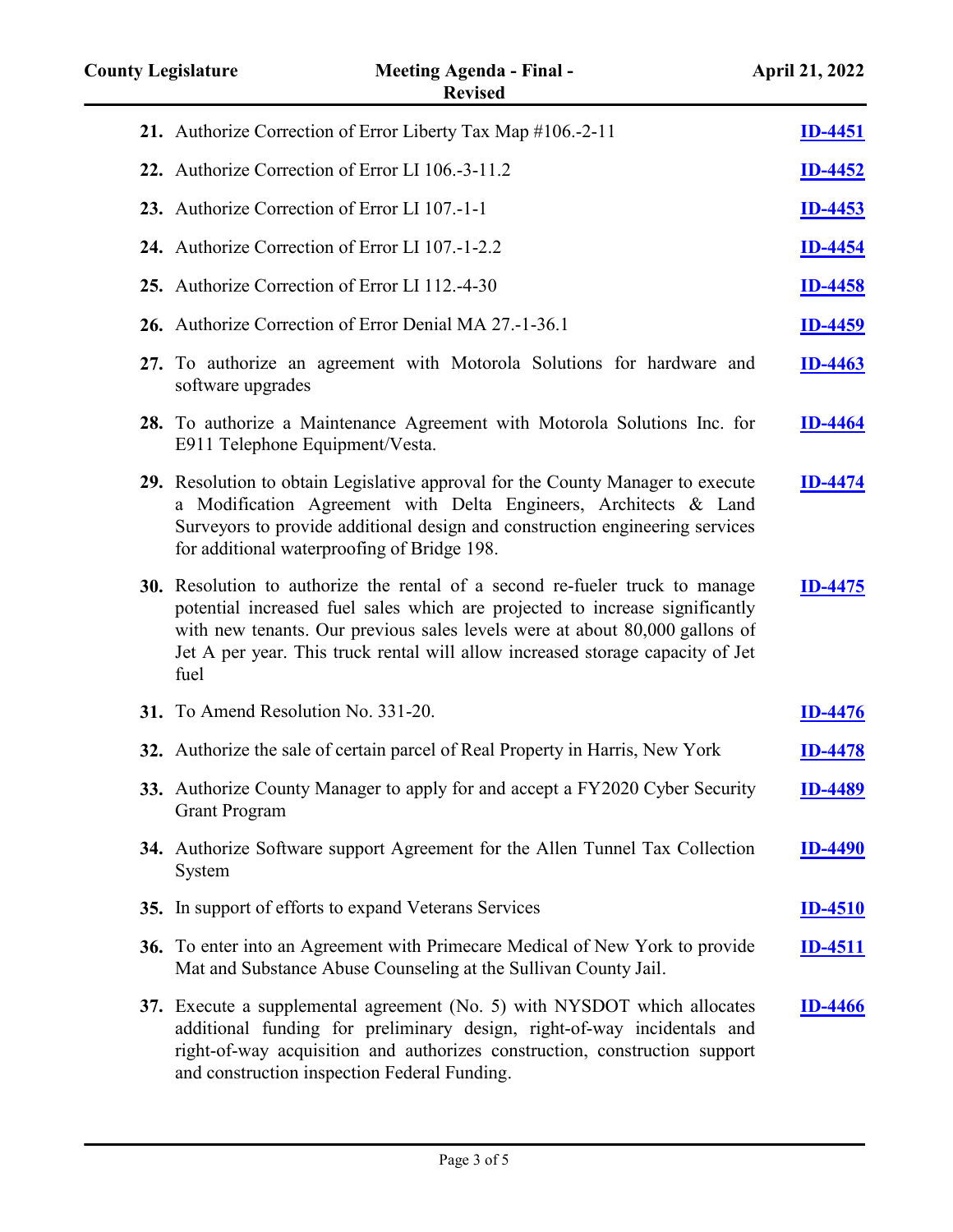| <b>County Legislature</b> | <b>Meeting Agenda - Final -</b><br><b>Revised</b>                                                                                                                                                                                                                                                                                     | <b>April 21, 2022</b> |
|---------------------------|---------------------------------------------------------------------------------------------------------------------------------------------------------------------------------------------------------------------------------------------------------------------------------------------------------------------------------------|-----------------------|
|                           | 21. Authorize Correction of Error Liberty Tax Map #106.-2-11                                                                                                                                                                                                                                                                          | <b>ID-4451</b>        |
|                           | 22. Authorize Correction of Error LI 106.-3-11.2                                                                                                                                                                                                                                                                                      | <b>ID-4452</b>        |
|                           | 23. Authorize Correction of Error LI 107.-1-1                                                                                                                                                                                                                                                                                         | <b>ID-4453</b>        |
|                           | 24. Authorize Correction of Error LI 107.-1-2.2                                                                                                                                                                                                                                                                                       | <b>ID-4454</b>        |
|                           | 25. Authorize Correction of Error LI 112.-4-30                                                                                                                                                                                                                                                                                        | <b>ID-4458</b>        |
|                           | 26. Authorize Correction of Error Denial MA 27.-1-36.1                                                                                                                                                                                                                                                                                | <b>ID-4459</b>        |
|                           | 27. To authorize an agreement with Motorola Solutions for hardware and<br>software upgrades                                                                                                                                                                                                                                           | <b>ID-4463</b>        |
|                           | 28. To authorize a Maintenance Agreement with Motorola Solutions Inc. for<br>E911 Telephone Equipment/Vesta.                                                                                                                                                                                                                          | <b>ID-4464</b>        |
|                           | 29. Resolution to obtain Legislative approval for the County Manager to execute<br>a Modification Agreement with Delta Engineers, Architects & Land<br>Surveyors to provide additional design and construction engineering services<br>for additional waterproofing of Bridge 198.                                                    | <b>ID-4474</b>        |
|                           | 30. Resolution to authorize the rental of a second re-fueler truck to manage<br>potential increased fuel sales which are projected to increase significantly<br>with new tenants. Our previous sales levels were at about 80,000 gallons of<br>Jet A per year. This truck rental will allow increased storage capacity of Jet<br>fuel | ID-4475               |
|                           | 31. To Amend Resolution No. 331-20.                                                                                                                                                                                                                                                                                                   | <b>ID-4476</b>        |
|                           | 32. Authorize the sale of certain parcel of Real Property in Harris, New York                                                                                                                                                                                                                                                         | <b>ID-4478</b>        |
|                           | 33. Authorize County Manager to apply for and accept a FY2020 Cyber Security<br><b>Grant Program</b>                                                                                                                                                                                                                                  | <b>ID-4489</b>        |
|                           | 34. Authorize Software support Agreement for the Allen Tunnel Tax Collection<br>System                                                                                                                                                                                                                                                | <b>ID-4490</b>        |
|                           | 35. In support of efforts to expand Veterans Services                                                                                                                                                                                                                                                                                 | <b>ID-4510</b>        |
|                           | 36. To enter into an Agreement with Primecare Medical of New York to provide<br>Mat and Substance Abuse Counseling at the Sullivan County Jail.                                                                                                                                                                                       | ID-4511               |
|                           | 37. Execute a supplemental agreement (No. 5) with NYSDOT which allocates<br>additional funding for preliminary design, right-of-way incidentals and<br>right-of-way acquisition and authorizes construction, construction support                                                                                                     | <b>ID-4466</b>        |

and construction inspection Federal Funding.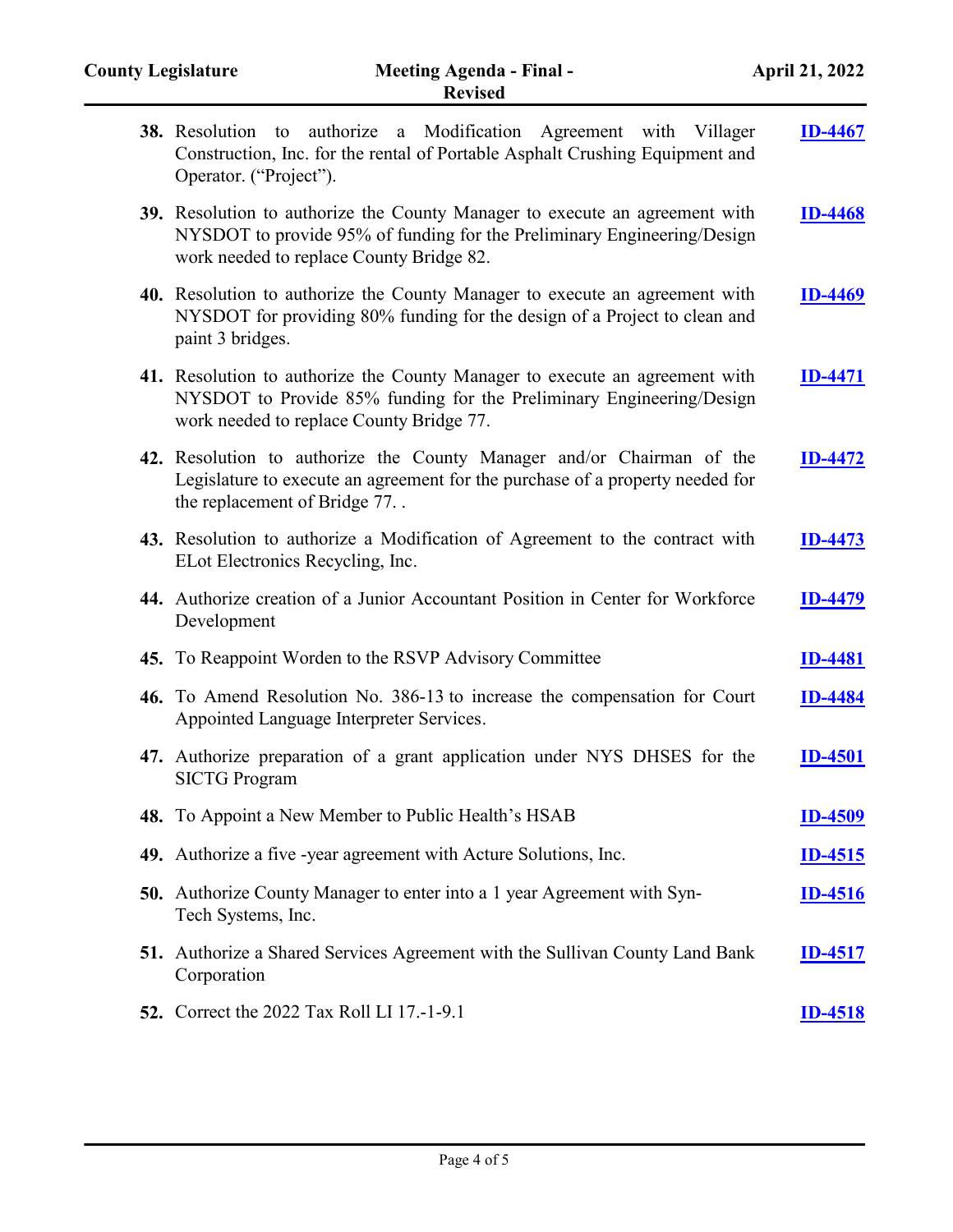| 38. Resolution to authorize a Modification Agreement with Villager<br>Construction, Inc. for the rental of Portable Asphalt Crushing Equipment and<br>Operator. ("Project").                       |                |
|----------------------------------------------------------------------------------------------------------------------------------------------------------------------------------------------------|----------------|
| 39. Resolution to authorize the County Manager to execute an agreement with<br>NYSDOT to provide 95% of funding for the Preliminary Engineering/Design<br>work needed to replace County Bridge 82. | <b>ID-4468</b> |
| 40. Resolution to authorize the County Manager to execute an agreement with<br>NYSDOT for providing 80% funding for the design of a Project to clean and<br>paint 3 bridges.                       | <b>ID-4469</b> |
| 41. Resolution to authorize the County Manager to execute an agreement with<br>NYSDOT to Provide 85% funding for the Preliminary Engineering/Design<br>work needed to replace County Bridge 77.    | ID-4471        |
| 42. Resolution to authorize the County Manager and/or Chairman of the<br>Legislature to execute an agreement for the purchase of a property needed for<br>the replacement of Bridge 77             | <b>ID-4472</b> |
| 43. Resolution to authorize a Modification of Agreement to the contract with<br>ELot Electronics Recycling, Inc.                                                                                   | <b>ID-4473</b> |
| 44. Authorize creation of a Junior Accountant Position in Center for Workforce<br>Development                                                                                                      | <b>ID-4479</b> |
| <b>45.</b> To Reappoint Worden to the RSVP Advisory Committee                                                                                                                                      | <b>ID-4481</b> |
| 46. To Amend Resolution No. 386-13 to increase the compensation for Court<br>Appointed Language Interpreter Services.                                                                              | <b>ID-4484</b> |
| 47. Authorize preparation of a grant application under NYS DHSES for the<br><b>SICTG Program</b>                                                                                                   | <b>ID-4501</b> |
| 48. To Appoint a New Member to Public Health's HSAB                                                                                                                                                | <b>ID-4509</b> |
| 49. Authorize a five -year agreement with Acture Solutions, Inc.                                                                                                                                   | <u>ID-4515</u> |
| <b>50.</b> Authorize County Manager to enter into a 1 year Agreement with Syn-<br>Tech Systems, Inc.                                                                                               | <b>ID-4516</b> |
| <b>51.</b> Authorize a Shared Services Agreement with the Sullivan County Land Bank<br>Corporation                                                                                                 | <b>ID-4517</b> |
| <b>52.</b> Correct the 2022 Tax Roll LI 17.-1-9.1                                                                                                                                                  | <b>ID-4518</b> |